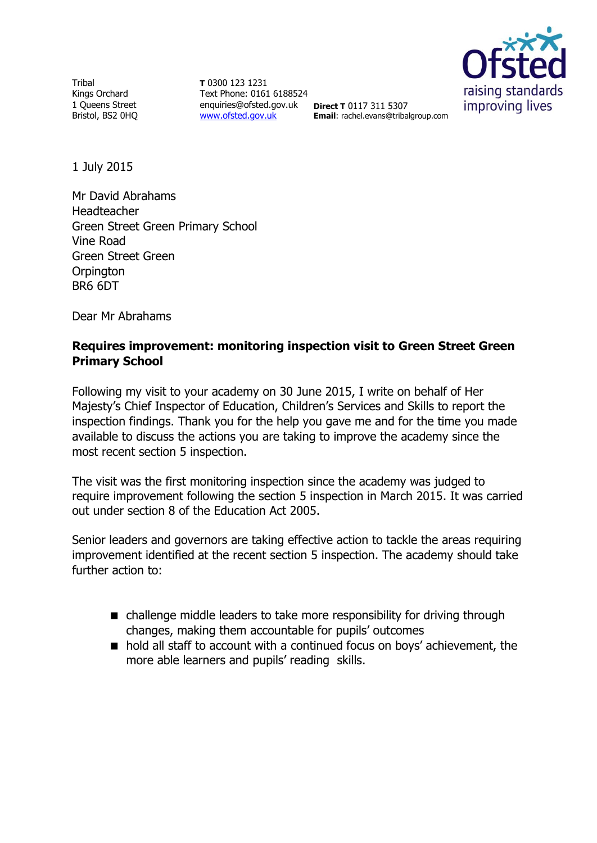**Tribal** Kings Orchard 1 Queens Street Bristol, BS2 0HQ

**T** 0300 123 1231 Text Phone: 0161 6188524 enquiries@ofsted.gov.uk **Direct T** 0117 311 5307 [www.ofsted.gov.uk](http://www.ofsted.gov.uk/)



**Email**: rachel.evans@tribalgroup.com

1 July 2015

Mr David Abrahams Headteacher Green Street Green Primary School Vine Road Green Street Green **Orpington** BR6 6DT

Dear Mr Abrahams

## **Requires improvement: monitoring inspection visit to Green Street Green Primary School**

Following my visit to your academy on 30 June 2015, I write on behalf of Her Majesty's Chief Inspector of Education, Children's Services and Skills to report the inspection findings. Thank you for the help you gave me and for the time you made available to discuss the actions you are taking to improve the academy since the most recent section 5 inspection.

The visit was the first monitoring inspection since the academy was judged to require improvement following the section 5 inspection in March 2015. It was carried out under section 8 of the Education Act 2005.

Senior leaders and governors are taking effective action to tackle the areas requiring improvement identified at the recent section 5 inspection. The academy should take further action to:

- challenge middle leaders to take more responsibility for driving through changes, making them accountable for pupils' outcomes
- hold all staff to account with a continued focus on boys' achievement, the more able learners and pupils' reading skills.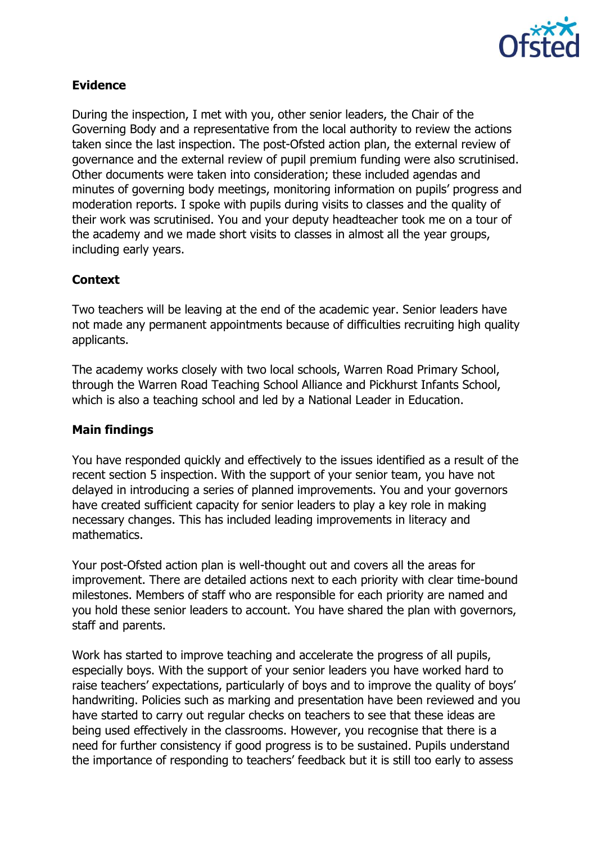

# **Evidence**

During the inspection, I met with you, other senior leaders, the Chair of the Governing Body and a representative from the local authority to review the actions taken since the last inspection. The post-Ofsted action plan, the external review of governance and the external review of pupil premium funding were also scrutinised. Other documents were taken into consideration; these included agendas and minutes of governing body meetings, monitoring information on pupils' progress and moderation reports. I spoke with pupils during visits to classes and the quality of their work was scrutinised. You and your deputy headteacher took me on a tour of the academy and we made short visits to classes in almost all the year groups, including early years.

# **Context**

Two teachers will be leaving at the end of the academic year. Senior leaders have not made any permanent appointments because of difficulties recruiting high quality applicants.

The academy works closely with two local schools, Warren Road Primary School, through the Warren Road Teaching School Alliance and Pickhurst Infants School, which is also a teaching school and led by a National Leader in Education.

## **Main findings**

You have responded quickly and effectively to the issues identified as a result of the recent section 5 inspection. With the support of your senior team, you have not delayed in introducing a series of planned improvements. You and your governors have created sufficient capacity for senior leaders to play a key role in making necessary changes. This has included leading improvements in literacy and mathematics.

Your post-Ofsted action plan is well-thought out and covers all the areas for improvement. There are detailed actions next to each priority with clear time-bound milestones. Members of staff who are responsible for each priority are named and you hold these senior leaders to account. You have shared the plan with governors, staff and parents.

Work has started to improve teaching and accelerate the progress of all pupils, especially boys. With the support of your senior leaders you have worked hard to raise teachers' expectations, particularly of boys and to improve the quality of boys' handwriting. Policies such as marking and presentation have been reviewed and you have started to carry out regular checks on teachers to see that these ideas are being used effectively in the classrooms. However, you recognise that there is a need for further consistency if good progress is to be sustained. Pupils understand the importance of responding to teachers' feedback but it is still too early to assess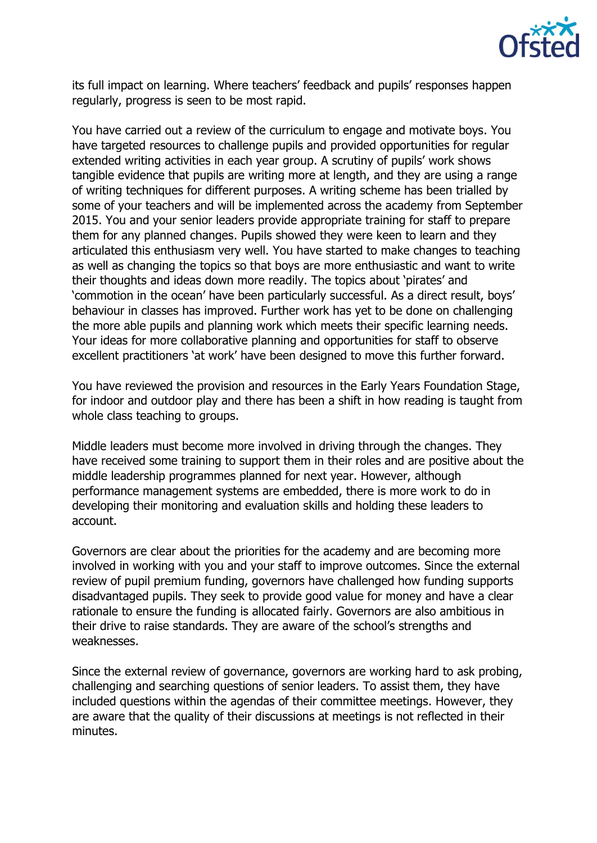

its full impact on learning. Where teachers' feedback and pupils' responses happen regularly, progress is seen to be most rapid.

You have carried out a review of the curriculum to engage and motivate boys. You have targeted resources to challenge pupils and provided opportunities for regular extended writing activities in each year group. A scrutiny of pupils' work shows tangible evidence that pupils are writing more at length, and they are using a range of writing techniques for different purposes. A writing scheme has been trialled by some of your teachers and will be implemented across the academy from September 2015. You and your senior leaders provide appropriate training for staff to prepare them for any planned changes. Pupils showed they were keen to learn and they articulated this enthusiasm very well. You have started to make changes to teaching as well as changing the topics so that boys are more enthusiastic and want to write their thoughts and ideas down more readily. The topics about 'pirates' and 'commotion in the ocean' have been particularly successful. As a direct result, boys' behaviour in classes has improved. Further work has yet to be done on challenging the more able pupils and planning work which meets their specific learning needs. Your ideas for more collaborative planning and opportunities for staff to observe excellent practitioners 'at work' have been designed to move this further forward.

You have reviewed the provision and resources in the Early Years Foundation Stage, for indoor and outdoor play and there has been a shift in how reading is taught from whole class teaching to groups.

Middle leaders must become more involved in driving through the changes. They have received some training to support them in their roles and are positive about the middle leadership programmes planned for next year. However, although performance management systems are embedded, there is more work to do in developing their monitoring and evaluation skills and holding these leaders to account.

Governors are clear about the priorities for the academy and are becoming more involved in working with you and your staff to improve outcomes. Since the external review of pupil premium funding, governors have challenged how funding supports disadvantaged pupils. They seek to provide good value for money and have a clear rationale to ensure the funding is allocated fairly. Governors are also ambitious in their drive to raise standards. They are aware of the school's strengths and weaknesses.

Since the external review of governance, governors are working hard to ask probing, challenging and searching questions of senior leaders. To assist them, they have included questions within the agendas of their committee meetings. However, they are aware that the quality of their discussions at meetings is not reflected in their minutes.